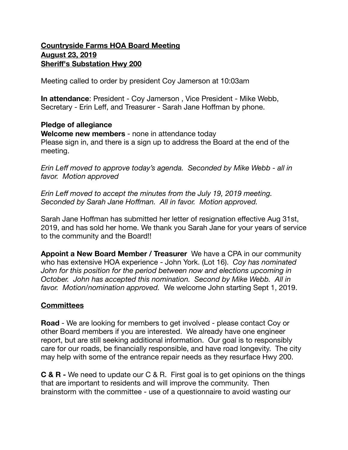### **Countryside Farms HOA Board Meeting August 23, 2019 Sheriff's Substation Hwy 200**

Meeting called to order by president Coy Jamerson at 10:03am

**In attendance**: President - Coy Jamerson , Vice President - Mike Webb, Secretary - Erin Leff, and Treasurer - Sarah Jane Hoffman by phone.

#### **Pledge of allegiance**

**Welcome new members** - none in attendance today Please sign in, and there is a sign up to address the Board at the end of the meeting.

*Erin Leff moved to approve today's agenda. Seconded by Mike Webb - all in favor. Motion approved* 

*Erin Leff moved to accept the minutes from the July 19, 2019 meeting. Seconded by Sarah Jane Hoffman. All in favor. Motion approved.* 

Sarah Jane Hoffman has submitted her letter of resignation effective Aug 31st, 2019, and has sold her home. We thank you Sarah Jane for your years of service to the community and the Board!!

**Appoint a New Board Member / Treasurer** We have a CPA in our community who has extensive HOA experience - John York. (Lot 16). *Coy has nominated*  John for this position for the period between now and elections upcoming in *October. John has accepted this nomination. Second by Mike Webb. All in favor. Motion/nomination approved.* We welcome John starting Sept 1, 2019.

# **Committees**

**Road** - We are looking for members to get involved - please contact Coy or other Board members if you are interested. We already have one engineer report, but are still seeking additional information. Our goal is to responsibly care for our roads, be financially responsible, and have road longevity. The city may help with some of the entrance repair needs as they resurface Hwy 200.

**C & R -** We need to update our C & R. First goal is to get opinions on the things that are important to residents and will improve the community. Then brainstorm with the committee - use of a questionnaire to avoid wasting our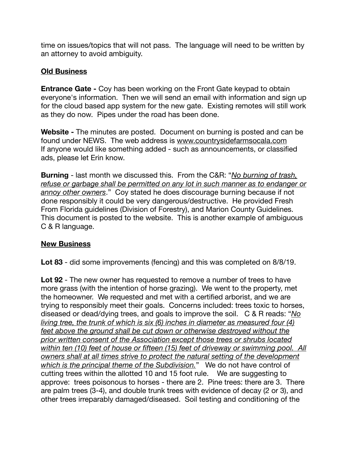time on issues/topics that will not pass. The language will need to be written by an attorney to avoid ambiguity.

## **Old Business**

**Entrance Gate -** Coy has been working on the Front Gate keypad to obtain everyone's information. Then we will send an email with information and sign up for the cloud based app system for the new gate. Existing remotes will still work as they do now. Pipes under the road has been done.

**Website -** The minutes are posted. Document on burning is posted and can be found under NEWS. The web address is [www.countrysidefarmsocala.com](http://www.countrysidefarmsocala.com) If anyone would like something added - such as announcements, or classified ads, please let Erin know.

**Burning** - last month we discussed this. From the C&R: "*No burning of trash, refuse or garbage shall be permitted on any lot in such manner as to endanger or annoy other owners*." Coy stated he does discourage burning because if not done responsibly it could be very dangerous/destructive. He provided Fresh From Florida guidelines (Division of Forestry), and Marion County Guidelines. This document is posted to the website. This is another example of ambiguous C & R language.

## **New Business**

**Lot 83** - did some improvements (fencing) and this was completed on 8/8/19.

**Lot 92** - The new owner has requested to remove a number of trees to have more grass (with the intention of horse grazing). We went to the property, met the homeowner. We requested and met with a certified arborist, and we are trying to responsibly meet their goals. Concerns included: trees toxic to horses, diseased or dead/dying trees, and goals to improve the soil. C & R reads: "*No living tree, the trunk of which is six (6) inches in diameter as measured four (4) feet above the ground shall be cut down or otherwise destroyed without the prior written consent of the Association except those trees or shrubs located within ten (10) feet of house or fifteen (15) feet of driveway or swimming pool. All owners shall at all times strive to protect the natural setting of the development which is the principal theme of the Subdivision.*" We do not have control of cutting trees within the allotted 10 and 15 foot rule. We are suggesting to approve: trees poisonous to horses - there are 2. Pine trees: there are 3. There are palm trees (3-4), and double trunk trees with evidence of decay (2 or 3), and other trees irreparably damaged/diseased. Soil testing and conditioning of the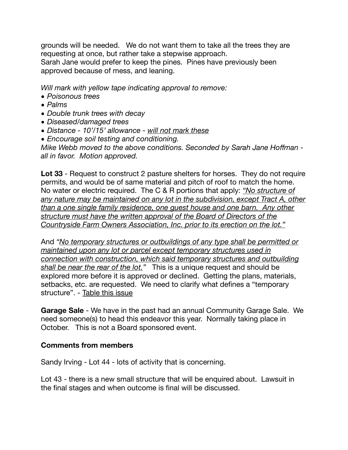grounds will be needed. We do not want them to take all the trees they are requesting at once, but rather take a stepwise approach. Sarah Jane would prefer to keep the pines. Pines have previously been approved because of mess, and leaning.

*Will mark with yellow tape indicating approval to remove:* 

- *• Poisonous trees*
- *• Palms*
- *• Double trunk trees with decay*
- *• Diseased/damaged trees*
- *• Distance 10'/15' allowance will not mark these*
- *• Encourage soil testing and conditioning.*

*Mike Webb moved to the above conditions. Seconded by Sarah Jane Hoffman all in favor. Motion approved.* 

**Lot 33** - Request to construct 2 pasture shelters for horses. They do not require permits, and would be of same material and pitch of roof to match the home. No water or electric required. The C & R portions that apply: *"No structure of any nature may be maintained on any lot in the subdivision, except Tract A, other than a one single family residence, one guest house and one barn. Any other structure must have the written approval of the Board of Directors of the Countryside Farm Owners Association, Inc. prior to its erection on the lot."*

And *"No temporary structures or outbuildings of any type shall be permitted or maintained upon any lot or parcel except temporary structures used in connection with construction, which said temporary structures and outbuilding shall be near the rear of the lot."* This is a unique request and should be explored more before it is approved or declined. Getting the plans, materials, setbacks, etc. are requested. We need to clarify what defines a "temporary structure". - Table this issue

**Garage Sale** - We have in the past had an annual Community Garage Sale. We need someone(s) to head this endeavor this year. Normally taking place in October. This is not a Board sponsored event.

# **Comments from members**

Sandy Irving - Lot 44 - lots of activity that is concerning.

Lot 43 - there is a new small structure that will be enquired about. Lawsuit in the final stages and when outcome is final will be discussed.